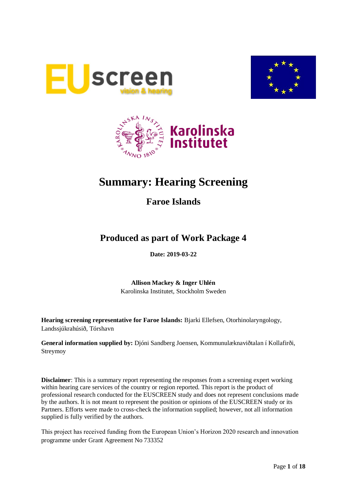





# **Summary: Hearing Screening**

**Faroe Islands**

# **Produced as part of Work Package 4**

**Date: 2019-03-22**

**Allison Mackey & Inger Uhlén** Karolinska Institutet, Stockholm Sweden

**Hearing screening representative for Faroe Islands:** Bjarki Ellefsen, Otorhinolaryngology, Landssjúkrahúsið, Tórshavn

**General information supplied by:** Djóni Sandberg Joensen, Kommunulæknaviðtalan í Kollafirði, Streymoy

**Disclaimer**: This is a summary report representing the responses from a screening expert working within hearing care services of the country or region reported. This report is the product of professional research conducted for the EUSCREEN study and does not represent conclusions made by the authors. It is not meant to represent the position or opinions of the EUSCREEN study or its Partners. Efforts were made to cross-check the information supplied; however, not all information supplied is fully verified by the authors.

This project has received funding from the European Union's Horizon 2020 research and innovation programme under Grant Agreement No 733352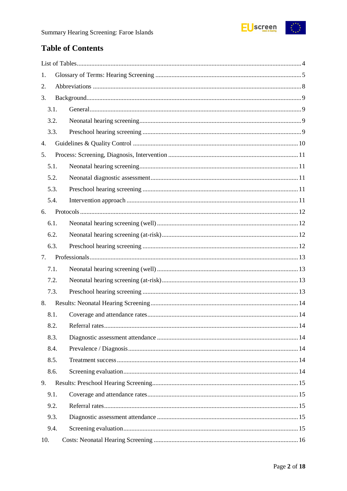

# **Table of Contents**

| 1.   |  |  |  |  |
|------|--|--|--|--|
| 2.   |  |  |  |  |
| 3.   |  |  |  |  |
| 3.1. |  |  |  |  |
| 3.2. |  |  |  |  |
| 3.3. |  |  |  |  |
| 4.   |  |  |  |  |
| 5.   |  |  |  |  |
| 5.1. |  |  |  |  |
| 5.2. |  |  |  |  |
| 5.3. |  |  |  |  |
| 5.4. |  |  |  |  |
| 6.   |  |  |  |  |
| 6.1. |  |  |  |  |
| 6.2. |  |  |  |  |
| 6.3. |  |  |  |  |
| 7.   |  |  |  |  |
| 7.1. |  |  |  |  |
| 7.2. |  |  |  |  |
| 7.3. |  |  |  |  |
| 8.   |  |  |  |  |
| 8.1. |  |  |  |  |
| 8.2. |  |  |  |  |
| 8.3. |  |  |  |  |
| 8.4. |  |  |  |  |
| 8.5. |  |  |  |  |
| 8.6. |  |  |  |  |
| 9.   |  |  |  |  |
| 9.1. |  |  |  |  |
| 9.2. |  |  |  |  |
| 9.3. |  |  |  |  |
| 9.4. |  |  |  |  |
| 10.  |  |  |  |  |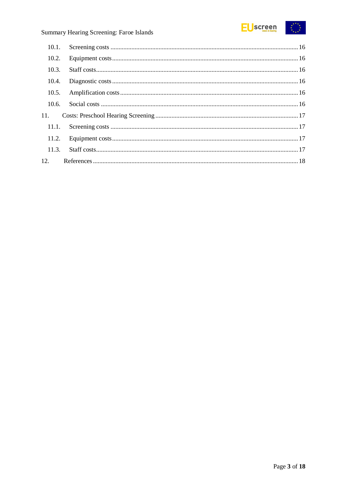

# Summary Hearing Screening: Faroe Islands

| 10.2. |  |
|-------|--|
| 10.3. |  |
| 10.4. |  |
|       |  |
| 10.6. |  |
| 11.   |  |
| 11.1. |  |
|       |  |
| 11.3. |  |
| 12.   |  |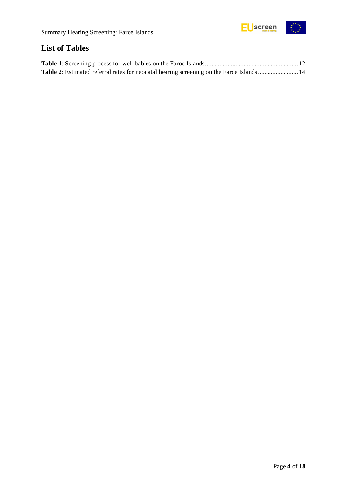

# <span id="page-3-0"></span>**List of Tables**

| Table 2: Estimated referral rates for neonatal hearing screening on the Faroe Islands 14 |  |
|------------------------------------------------------------------------------------------|--|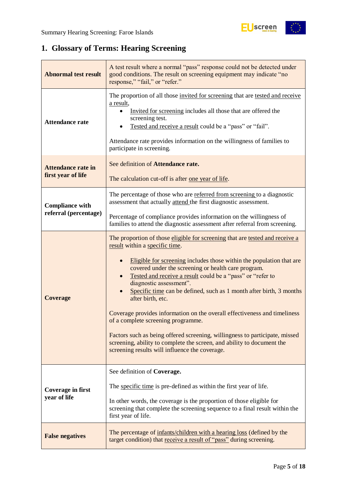# <span id="page-4-0"></span>**1. Glossary of Terms: Hearing Screening**

| <b>Abnormal test result</b>                     | A test result where a normal "pass" response could not be detected under<br>good conditions. The result on screening equipment may indicate "no<br>response," "fail," or "refer."                                                                                                                                                                                                                                                                                                                                                                                                                                                                                                                                                                                |  |  |
|-------------------------------------------------|------------------------------------------------------------------------------------------------------------------------------------------------------------------------------------------------------------------------------------------------------------------------------------------------------------------------------------------------------------------------------------------------------------------------------------------------------------------------------------------------------------------------------------------------------------------------------------------------------------------------------------------------------------------------------------------------------------------------------------------------------------------|--|--|
| <b>Attendance rate</b>                          | The proportion of all those invited for screening that are tested and receive<br>a result,<br>Invited for screening includes all those that are offered the<br>screening test.<br>Tested and receive a result could be a "pass" or "fail".<br>Attendance rate provides information on the willingness of families to<br>participate in screening.                                                                                                                                                                                                                                                                                                                                                                                                                |  |  |
| <b>Attendance rate in</b><br>first year of life | See definition of Attendance rate.<br>The calculation cut-off is after <u>one year of life</u> .                                                                                                                                                                                                                                                                                                                                                                                                                                                                                                                                                                                                                                                                 |  |  |
| <b>Compliance with</b>                          | The percentage of those who are referred from screening to a diagnostic<br>assessment that actually attend the first diagnostic assessment.                                                                                                                                                                                                                                                                                                                                                                                                                                                                                                                                                                                                                      |  |  |
| referral (percentage)                           | Percentage of compliance provides information on the willingness of<br>families to attend the diagnostic assessment after referral from screening.                                                                                                                                                                                                                                                                                                                                                                                                                                                                                                                                                                                                               |  |  |
| <b>Coverage</b>                                 | The proportion of those eligible for screening that are tested and receive a<br>result within a specific time.<br>Eligible for screening includes those within the population that are<br>covered under the screening or health care program.<br>Tested and receive a result could be a "pass" or "refer to<br>diagnostic assessment".<br>Specific time can be defined, such as 1 month after birth, 3 months<br>after birth, etc.<br>Coverage provides information on the overall effectiveness and timeliness<br>of a complete screening programme.<br>Factors such as being offered screening, willingness to participate, missed<br>screening, ability to complete the screen, and ability to document the<br>screening results will influence the coverage. |  |  |
| <b>Coverage in first</b><br>year of life        | See definition of Coverage.<br>The specific time is pre-defined as within the first year of life.<br>In other words, the coverage is the proportion of those eligible for<br>screening that complete the screening sequence to a final result within the<br>first year of life.                                                                                                                                                                                                                                                                                                                                                                                                                                                                                  |  |  |
| <b>False negatives</b>                          | The percentage of infants/children with a hearing loss (defined by the<br>target condition) that receive a result of "pass" during screening.                                                                                                                                                                                                                                                                                                                                                                                                                                                                                                                                                                                                                    |  |  |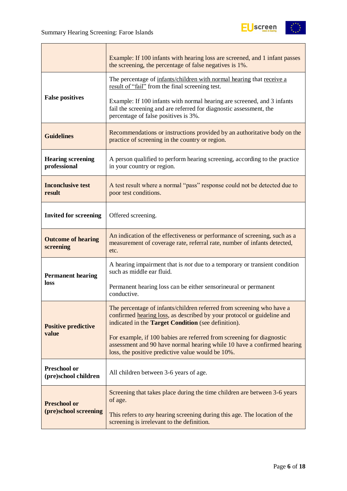

|                                             | Example: If 100 infants with hearing loss are screened, and 1 infant passes<br>the screening, the percentage of false negatives is 1%.                                                                 |  |  |
|---------------------------------------------|--------------------------------------------------------------------------------------------------------------------------------------------------------------------------------------------------------|--|--|
|                                             | The percentage of infants/children with normal hearing that receive a<br>result of "fail" from the final screening test.                                                                               |  |  |
| <b>False positives</b>                      | Example: If 100 infants with normal hearing are screened, and 3 infants<br>fail the screening and are referred for diagnostic assessment, the<br>percentage of false positives is 3%.                  |  |  |
| <b>Guidelines</b>                           | Recommendations or instructions provided by an authoritative body on the<br>practice of screening in the country or region.                                                                            |  |  |
| <b>Hearing screening</b><br>professional    | A person qualified to perform hearing screening, according to the practice<br>in your country or region.                                                                                               |  |  |
| <b>Inconclusive test</b><br>result          | A test result where a normal "pass" response could not be detected due to<br>poor test conditions.                                                                                                     |  |  |
| <b>Invited for screening</b>                | Offered screening.                                                                                                                                                                                     |  |  |
| <b>Outcome of hearing</b><br>screening      | An indication of the effectiveness or performance of screening, such as a<br>measurement of coverage rate, referral rate, number of infants detected,<br>etc.                                          |  |  |
| <b>Permanent hearing</b>                    | A hearing impairment that is <i>not</i> due to a temporary or transient condition<br>such as middle ear fluid.                                                                                         |  |  |
| loss                                        | Permanent hearing loss can be either sensorineural or permanent<br>conductive.                                                                                                                         |  |  |
| <b>Positive predictive</b>                  | The percentage of infants/children referred from screening who have a<br>confirmed hearing loss, as described by your protocol or guideline and<br>indicated in the Target Condition (see definition). |  |  |
| value                                       | For example, if 100 babies are referred from screening for diagnostic<br>assessment and 90 have normal hearing while 10 have a confirmed hearing<br>loss, the positive predictive value would be 10%.  |  |  |
| <b>Preschool or</b><br>(pre)school children | All children between 3-6 years of age.                                                                                                                                                                 |  |  |
| <b>Preschool or</b>                         | Screening that takes place during the time children are between 3-6 years<br>of age.                                                                                                                   |  |  |
| (pre)school screening                       | This refers to <i>any</i> hearing screening during this age. The location of the<br>screening is irrelevant to the definition.                                                                         |  |  |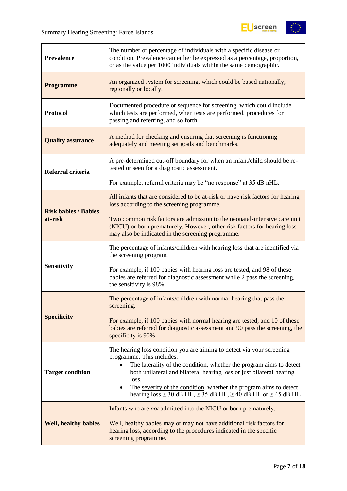

| <b>Prevalence</b>           | The number or percentage of individuals with a specific disease or<br>condition. Prevalence can either be expressed as a percentage, proportion,<br>or as the value per 1000 individuals within the same demographic.                            |  |  |
|-----------------------------|--------------------------------------------------------------------------------------------------------------------------------------------------------------------------------------------------------------------------------------------------|--|--|
| <b>Programme</b>            | An organized system for screening, which could be based nationally,<br>regionally or locally.                                                                                                                                                    |  |  |
| <b>Protocol</b>             | Documented procedure or sequence for screening, which could include<br>which tests are performed, when tests are performed, procedures for<br>passing and referring, and so forth.                                                               |  |  |
| <b>Quality assurance</b>    | A method for checking and ensuring that screening is functioning<br>adequately and meeting set goals and benchmarks.                                                                                                                             |  |  |
| Referral criteria           | A pre-determined cut-off boundary for when an infant/child should be re-<br>tested or seen for a diagnostic assessment.                                                                                                                          |  |  |
|                             | For example, referral criteria may be "no response" at 35 dB nHL.                                                                                                                                                                                |  |  |
| <b>Risk babies / Babies</b> | All infants that are considered to be at-risk or have risk factors for hearing<br>loss according to the screening programme.                                                                                                                     |  |  |
| at-risk                     | Two common risk factors are admission to the neonatal-intensive care unit<br>(NICU) or born prematurely. However, other risk factors for hearing loss<br>may also be indicated in the screening programme.                                       |  |  |
|                             | The percentage of infants/children with hearing loss that are identified via<br>the screening program.                                                                                                                                           |  |  |
| <b>Sensitivity</b>          | For example, if 100 babies with hearing loss are tested, and 98 of these<br>babies are referred for diagnostic assessment while 2 pass the screening,<br>the sensitivity is 98%.                                                                 |  |  |
|                             | The percentage of infants/children with normal hearing that pass the<br>screening.                                                                                                                                                               |  |  |
| <b>Specificity</b>          | For example, if 100 babies with normal hearing are tested, and 10 of these<br>babies are referred for diagnostic assessment and 90 pass the screening, the<br>specificity is 90%.                                                                |  |  |
|                             | The hearing loss condition you are aiming to detect via your screening<br>programme. This includes:<br>The laterality of the condition, whether the program aims to detect                                                                       |  |  |
| <b>Target condition</b>     | both unilateral and bilateral hearing loss or just bilateral hearing<br>loss.<br>The severity of the condition, whether the program aims to detect<br>$\bullet$<br>hearing $loss \ge 30$ dB HL, $\ge 35$ dB HL, $\ge 40$ dB HL or $\ge 45$ dB HL |  |  |
|                             | Infants who are <i>not</i> admitted into the NICU or born prematurely.                                                                                                                                                                           |  |  |
| <b>Well, healthy babies</b> | Well, healthy babies may or may not have additional risk factors for<br>hearing loss, according to the procedures indicated in the specific<br>screening programme.                                                                              |  |  |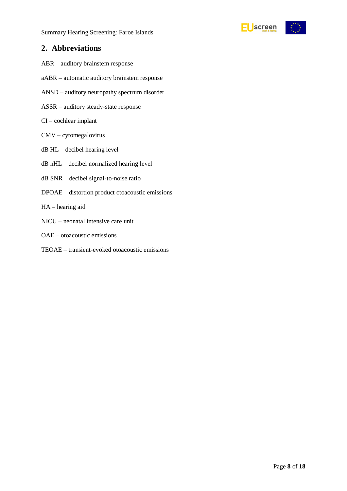Summary Hearing Screening: Faroe Islands



### <span id="page-7-0"></span>**2. Abbreviations**

- ABR auditory brainstem response
- aABR automatic auditory brainstem response
- ANSD auditory neuropathy spectrum disorder
- ASSR auditory steady-state response
- CI cochlear implant
- CMV cytomegalovirus
- dB HL decibel hearing level
- dB nHL decibel normalized hearing level
- dB SNR decibel signal-to-noise ratio
- DPOAE distortion product otoacoustic emissions
- HA hearing aid
- NICU neonatal intensive care unit
- OAE otoacoustic emissions
- TEOAE transient-evoked otoacoustic emissions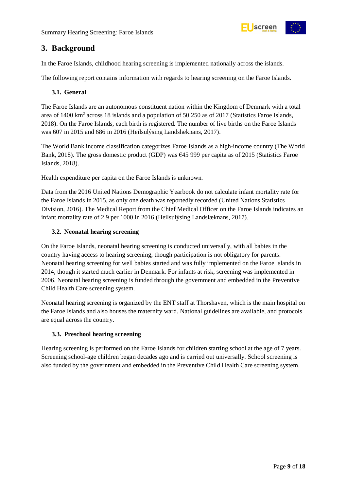

# <span id="page-8-0"></span>**3. Background**

In the Faroe Islands, childhood hearing screening is implemented nationally across the islands.

The following report contains information with regards to hearing screening on the Faroe Islands.

#### <span id="page-8-1"></span>**3.1. General**

The Faroe Islands are an autonomous constituent nation within the Kingdom of Denmark with a total area of 1400 km<sup>2</sup> across 18 islands and a population of 50 250 as of 2017 (Statistics Faroe Islands, 2018). On the Faroe Islands, each birth is registered. The number of live births on the Faroe Islands was 607 in 2015 and 686 in 2016 (Heilsulýsing Landslæknans, 2017).

The World Bank income classification categorizes Faroe Islands as a high-income country (The World Bank, 2018). The gross domestic product (GDP) was €45 999 per capita as of 2015 (Statistics Faroe Islands, 2018).

Health expenditure per capita on the Faroe Islands is unknown.

Data from the 2016 United Nations Demographic Yearbook do not calculate infant mortality rate for the Faroe Islands in 2015, as only one death was reportedly recorded (United Nations Statistics Division, 2016). The Medical Report from the Chief Medical Officer on the Faroe Islands indicates an infant mortality rate of 2.9 per 1000 in 2016 (Heilsulýsing Landslæknans, 2017).

#### <span id="page-8-2"></span>**3.2. Neonatal hearing screening**

On the Faroe Islands, neonatal hearing screening is conducted universally, with all babies in the country having access to hearing screening, though participation is not obligatory for parents. Neonatal hearing screening for well babies started and was fully implemented on the Faroe Islands in 2014, though it started much earlier in Denmark. For infants at risk, screening was implemented in 2006. Neonatal hearing screening is funded through the government and embedded in the Preventive Child Health Care screening system.

Neonatal hearing screening is organized by the ENT staff at Thorshaven, which is the main hospital on the Faroe Islands and also houses the maternity ward. National guidelines are available, and protocols are equal across the country.

#### <span id="page-8-3"></span>**3.3. Preschool hearing screening**

Hearing screening is performed on the Faroe Islands for children starting school at the age of 7 years. Screening school-age children began decades ago and is carried out universally. School screening is also funded by the government and embedded in the Preventive Child Health Care screening system.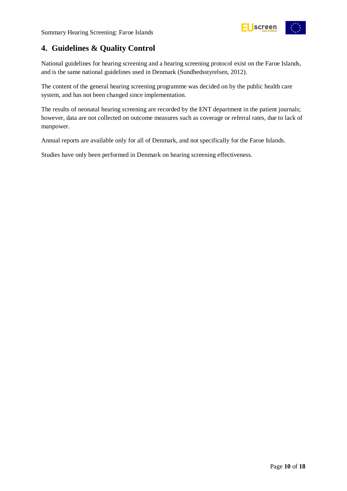

# <span id="page-9-0"></span>**4. Guidelines & Quality Control**

National guidelines for hearing screening and a hearing screening protocol exist on the Faroe Islands, and is the same national guidelines used in Denmark (Sundhedsstyrelsen, 2012).

The content of the general hearing screening programme was decided on by the public health care system, and has not been changed since implementation.

The results of neonatal hearing screening are recorded by the ENT department in the patient journals; however, data are not collected on outcome measures such as coverage or referral rates, due to lack of manpower.

Annual reports are available only for all of Denmark, and not specifically for the Faroe Islands.

Studies have only been performed in Denmark on hearing screening effectiveness.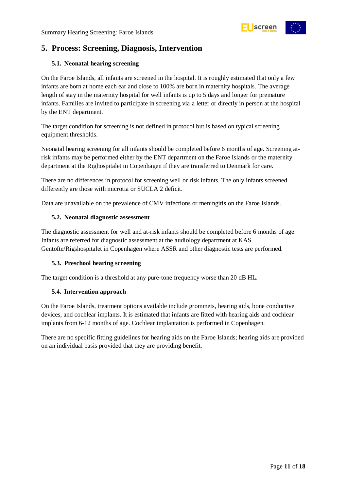

# <span id="page-10-0"></span>**5. Process: Screening, Diagnosis, Intervention**

#### <span id="page-10-1"></span>**5.1. Neonatal hearing screening**

On the Faroe Islands, all infants are screened in the hospital. It is roughly estimated that only a few infants are born at home each ear and close to 100% are born in maternity hospitals. The average length of stay in the maternity hospital for well infants is up to 5 days and longer for premature infants. Families are invited to participate in screening via a letter or directly in person at the hospital by the ENT department.

The target condition for screening is not defined in protocol but is based on typical screening equipment thresholds.

Neonatal hearing screening for all infants should be completed before 6 months of age. Screening atrisk infants may be performed either by the ENT department on the Faroe Islands or the maternity department at the Righospitalet in Copenhagen if they are transferred to Denmark for care.

There are no differences in protocol for screening well or risk infants. The only infants screened differently are those with microtia or SUCLA 2 deficit.

Data are unavailable on the prevalence of CMV infections or meningitis on the Faroe Islands.

#### <span id="page-10-2"></span>**5.2. Neonatal diagnostic assessment**

The diagnostic assessment for well and at-risk infants should be completed before 6 months of age. Infants are referred for diagnostic assessment at the audiology department at KAS Gentofte/Rigshospitalet in Copenhagen where ASSR and other diagnostic tests are performed.

#### <span id="page-10-3"></span>**5.3. Preschool hearing screening**

The target condition is a threshold at any pure-tone frequency worse than 20 dB HL.

#### <span id="page-10-4"></span>**5.4. Intervention approach**

On the Faroe Islands, treatment options available include grommets, hearing aids, bone conductive devices, and cochlear implants. It is estimated that infants are fitted with hearing aids and cochlear implants from 6-12 months of age. Cochlear implantation is performed in Copenhagen.

There are no specific fitting guidelines for hearing aids on the Faroe Islands; hearing aids are provided on an individual basis provided that they are providing benefit.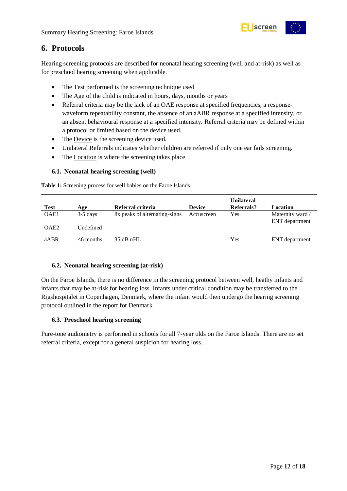

# <span id="page-11-0"></span>**6. Protocols**

Hearing screening protocols are described for neonatal hearing screening (well and at-risk) as well as for preschool hearing screening when applicable.

- The Test performed is the screening technique used
- The Age of the child is indicated in hours, days, months or years
- Referral criteria may be the lack of an OAE response at specified frequencies, a responsewaveform repeatability constant, the absence of an aABR response at a specified intensity, or an absent behavioural response at a specified intensity. Referral criteria may be defined within a protocol or limited based on the device used.
- The Device is the screening device used.
- Unilateral Referrals indicates whether children are referred if only one ear fails screening.
- The Location is where the screening takes place

#### <span id="page-11-1"></span>**6.1. Neonatal hearing screening (well)**

<span id="page-11-4"></span>**Table 1:** Screening process for well babies on the Faroe Islands.

| <b>Test</b>      | Age          | Referral criteria             | <b>Device</b> | <b>Unilateral</b><br>Referrals? | Location                           |
|------------------|--------------|-------------------------------|---------------|---------------------------------|------------------------------------|
| OAE1             | $3-5$ days   | 8x peaks of alternating-signs | Accuscreen    | Yes                             | Maternity ward /<br>ENT department |
| OAE <sub>2</sub> | [Jndefined]  |                               |               |                                 |                                    |
| aABR             | $<$ 6 months | $35$ dB nHL                   |               | Yes                             | ENT department                     |

#### <span id="page-11-2"></span>**6.2. Neonatal hearing screening (at-risk)**

On the Faroe Islands, there is no difference in the screening protocol between well, heathy infants and infants that may be at-risk for hearing loss. Infants under critical condition may be transferred to the Rigshospitalet in Copenhagen, Denmark, where the infant would then undergo the hearing screening protocol outlined in the report for Denmark.

#### <span id="page-11-3"></span>**6.3. Preschool hearing screening**

Pure-tone audiometry is performed in schools for all 7-year olds on the Faroe Islands. There are no set referral criteria, except for a general suspicion for hearing loss.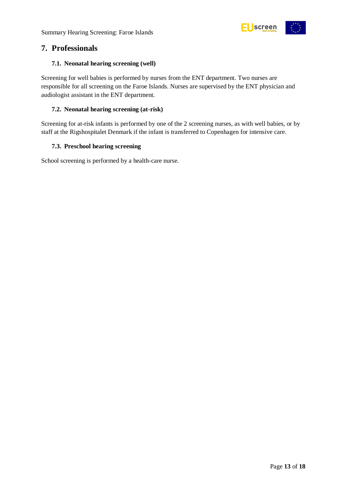

### <span id="page-12-0"></span>**7. Professionals**

#### <span id="page-12-1"></span>**7.1. Neonatal hearing screening (well)**

Screening for well babies is performed by nurses from the ENT department. Two nurses are responsible for all screening on the Faroe Islands. Nurses are supervised by the ENT physician and audiologist assistant in the ENT department.

#### <span id="page-12-2"></span>**7.2. Neonatal hearing screening (at-risk)**

Screening for at-risk infants is performed by one of the 2 screening nurses, as with well babies, or by staff at the Rigshospitalet Denmark if the infant is transferred to Copenhagen for intensive care.

#### <span id="page-12-3"></span>**7.3. Preschool hearing screening**

School screening is performed by a health-care nurse.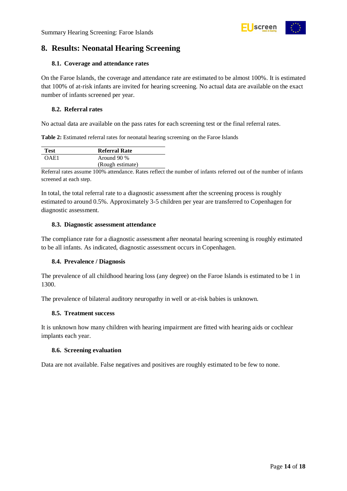<span id="page-13-0"></span>

#### <span id="page-13-1"></span>**8.1. Coverage and attendance rates**

On the Faroe Islands, the coverage and attendance rate are estimated to be almost 100%. It is estimated that 100% of at-risk infants are invited for hearing screening. No actual data are available on the exact number of infants screened per year.

screen

#### <span id="page-13-2"></span>**8.2. Referral rates**

No actual data are available on the pass rates for each screening test or the final referral rates.

<span id="page-13-7"></span>**Table 2:** Estimated referral rates for neonatal hearing screening on the Faroe Islands

| <b>Test</b> | <b>Referral Rate</b> |
|-------------|----------------------|
| OAE1        | Around 90 %          |
|             | (Rough estimate)     |

Referral rates assume 100% attendance. Rates reflect the number of infants referred out of the number of infants screened at each step.

In total, the total referral rate to a diagnostic assessment after the screening process is roughly estimated to around 0.5%. Approximately 3-5 children per year are transferred to Copenhagen for diagnostic assessment.

#### <span id="page-13-3"></span>**8.3. Diagnostic assessment attendance**

The compliance rate for a diagnostic assessment after neonatal hearing screening is roughly estimated to be all infants. As indicated, diagnostic assessment occurs in Copenhagen.

#### <span id="page-13-4"></span>**8.4. Prevalence / Diagnosis**

The prevalence of all childhood hearing loss (any degree) on the Faroe Islands is estimated to be 1 in 1300.

The prevalence of bilateral auditory neuropathy in well or at-risk babies is unknown.

#### <span id="page-13-5"></span>**8.5. Treatment success**

It is unknown how many children with hearing impairment are fitted with hearing aids or cochlear implants each year.

#### <span id="page-13-6"></span>**8.6. Screening evaluation**

Data are not available. False negatives and positives are roughly estimated to be few to none.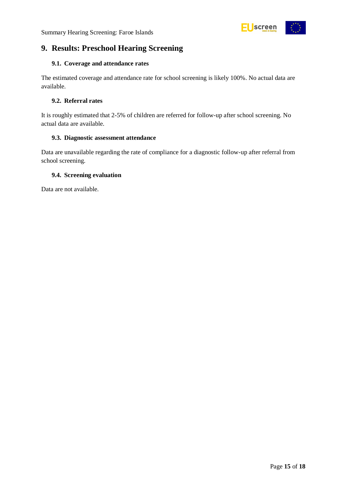

# <span id="page-14-0"></span>**9. Results: Preschool Hearing Screening**

#### <span id="page-14-1"></span>**9.1. Coverage and attendance rates**

The estimated coverage and attendance rate for school screening is likely 100%. No actual data are available.

#### <span id="page-14-2"></span>**9.2. Referral rates**

It is roughly estimated that 2-5% of children are referred for follow-up after school screening. No actual data are available.

#### <span id="page-14-3"></span>**9.3. Diagnostic assessment attendance**

Data are unavailable regarding the rate of compliance for a diagnostic follow-up after referral from school screening.

#### <span id="page-14-4"></span>**9.4. Screening evaluation**

Data are not available.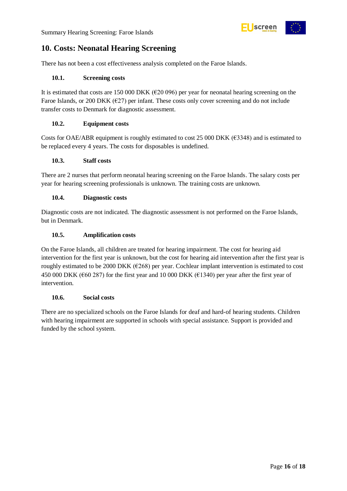

# <span id="page-15-0"></span>**10. Costs: Neonatal Hearing Screening**

There has not been a cost effectiveness analysis completed on the Faroe Islands.

#### <span id="page-15-1"></span>**10.1. Screening costs**

It is estimated that costs are 150 000 DKK ( $\epsilon$ 20 096) per year for neonatal hearing screening on the Faroe Islands, or 200 DKK ( $\epsilon$ 27) per infant. These costs only cover screening and do not include transfer costs to Denmark for diagnostic assessment.

#### <span id="page-15-2"></span>**10.2. Equipment costs**

Costs for OAE/ABR equipment is roughly estimated to cost 25 000 DKK ( $\epsilon$ 3348) and is estimated to be replaced every 4 years. The costs for disposables is undefined.

#### <span id="page-15-3"></span>**10.3. Staff costs**

There are 2 nurses that perform neonatal hearing screening on the Faroe Islands. The salary costs per year for hearing screening professionals is unknown. The training costs are unknown.

#### <span id="page-15-4"></span>**10.4. Diagnostic costs**

Diagnostic costs are not indicated. The diagnostic assessment is not performed on the Faroe Islands, but in Denmark.

#### <span id="page-15-5"></span>**10.5. Amplification costs**

On the Faroe Islands, all children are treated for hearing impairment. The cost for hearing aid intervention for the first year is unknown, but the cost for hearing aid intervention after the first year is roughly estimated to be 2000 DKK (€268) per year. Cochlear implant intervention is estimated to cost 450 000 DKK ( $\epsilon$ 60 287) for the first year and 10 000 DKK ( $\epsilon$ 1340) per year after the first year of intervention.

#### <span id="page-15-6"></span>**10.6. Social costs**

There are no specialized schools on the Faroe Islands for deaf and hard-of hearing students. Children with hearing impairment are supported in schools with special assistance. Support is provided and funded by the school system.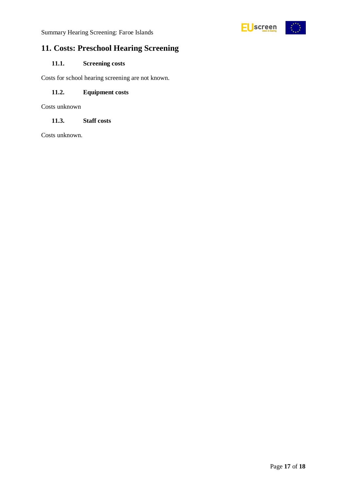

# <span id="page-16-0"></span>**11. Costs: Preschool Hearing Screening**

#### <span id="page-16-1"></span>**11.1. Screening costs**

Costs for school hearing screening are not known.

#### <span id="page-16-2"></span>**11.2. Equipment costs**

Costs unknown

#### <span id="page-16-3"></span>**11.3. Staff costs**

Costs unknown.